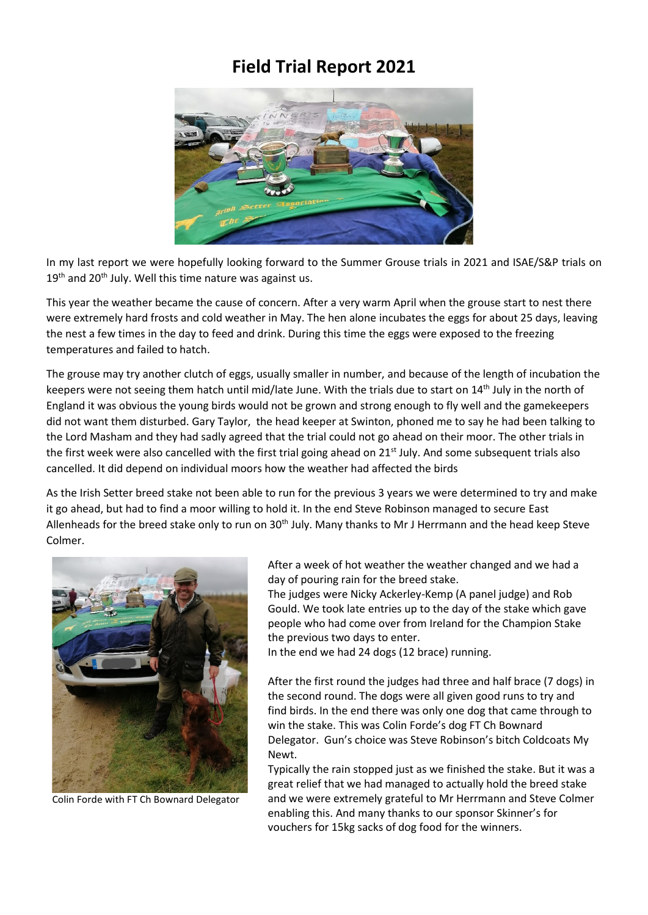## **Field Trial Report 2021**



In my last report we were hopefully looking forward to the Summer Grouse trials in 2021 and ISAE/S&P trials on  $19<sup>th</sup>$  and 20<sup>th</sup> July. Well this time nature was against us.

This year the weather became the cause of concern. After a very warm April when the grouse start to nest there were extremely hard frosts and cold weather in May. The hen alone incubates the eggs for about 25 days, leaving the nest a few times in the day to feed and drink. During this time the eggs were exposed to the freezing temperatures and failed to hatch.

The grouse may try another clutch of eggs, usually smaller in number, and because of the length of incubation the keepers were not seeing them hatch until mid/late June. With the trials due to start on 14<sup>th</sup> July in the north of England it was obvious the young birds would not be grown and strong enough to fly well and the gamekeepers did not want them disturbed. Gary Taylor, the head keeper at Swinton, phoned me to say he had been talking to the Lord Masham and they had sadly agreed that the trial could not go ahead on their moor. The other trials in the first week were also cancelled with the first trial going ahead on 21<sup>st</sup> July. And some subsequent trials also cancelled. It did depend on individual moors how the weather had affected the birds

As the Irish Setter breed stake not been able to run for the previous 3 years we were determined to try and make it go ahead, but had to find a moor willing to hold it. In the end Steve Robinson managed to secure East Allenheads for the breed stake only to run on 30<sup>th</sup> July. Many thanks to Mr J Herrmann and the head keep Steve Colmer.



Colin Forde with FT Ch Bownard Delegator

After a week of hot weather the weather changed and we had a day of pouring rain for the breed stake.

The judges were Nicky Ackerley-Kemp (A panel judge) and Rob Gould. We took late entries up to the day of the stake which gave people who had come over from Ireland for the Champion Stake the previous two days to enter.

In the end we had 24 dogs (12 brace) running.

After the first round the judges had three and half brace (7 dogs) in the second round. The dogs were all given good runs to try and find birds. In the end there was only one dog that came through to win the stake. This was Colin Forde's dog FT Ch Bownard Delegator. Gun's choice was Steve Robinson's bitch Coldcoats My Newt.

Typically the rain stopped just as we finished the stake. But it was a great relief that we had managed to actually hold the breed stake and we were extremely grateful to Mr Herrmann and Steve Colmer enabling this. And many thanks to our sponsor Skinner's for vouchers for 15kg sacks of dog food for the winners.